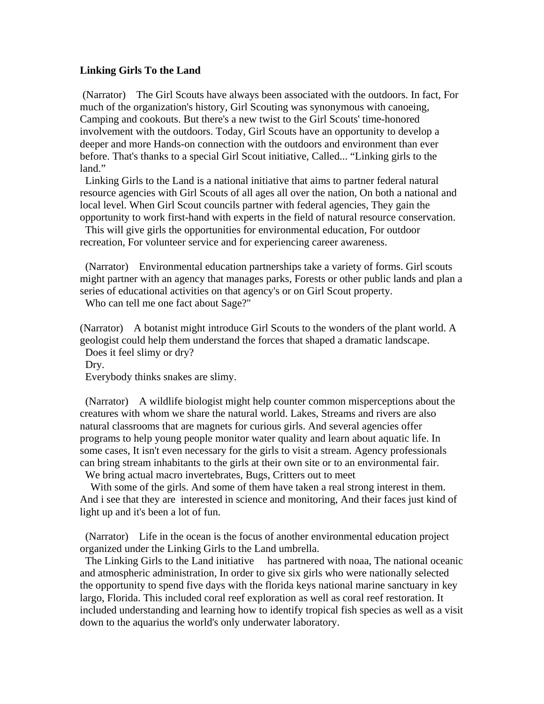## **Linking Girls To the Land**

 (Narrator) The Girl Scouts have always been associated with the outdoors. In fact, For much of the organization's history, Girl Scouting was synonymous with canoeing, Camping and cookouts. But there's a new twist to the Girl Scouts' time-honored involvement with the outdoors. Today, Girl Scouts have an opportunity to develop a deeper and more Hands-on connection with the outdoors and environment than ever before. That's thanks to a special Girl Scout initiative, Called... "Linking girls to the land."

 Linking Girls to the Land is a national initiative that aims to partner federal natural resource agencies with Girl Scouts of all ages all over the nation, On both a national and local level. When Girl Scout councils partner with federal agencies, They gain the opportunity to work first-hand with experts in the field of natural resource conservation.

This will give girls the opportunities for environmental education, For outdoor recreation, For volunteer service and for experiencing career awareness.

 (Narrator) Environmental education partnerships take a variety of forms. Girl scouts might partner with an agency that manages parks, Forests or other public lands and plan a series of educational activities on that agency's or on Girl Scout property.

Who can tell me one fact about Sage?"

(Narrator) A botanist might introduce Girl Scouts to the wonders of the plant world. A geologist could help them understand the forces that shaped a dramatic landscape. Does it feel slimy or dry?

Dry.

Everybody thinks snakes are slimy.

 (Narrator) A wildlife biologist might help counter common misperceptions about the creatures with whom we share the natural world. Lakes, Streams and rivers are also natural classrooms that are magnets for curious girls. And several agencies offer programs to help young people monitor water quality and learn about aquatic life. In some cases, It isn't even necessary for the girls to visit a stream. Agency professionals can bring stream inhabitants to the girls at their own site or to an environmental fair.

We bring actual macro invertebrates, Bugs, Critters out to meet

With some of the girls. And some of them have taken a real strong interest in them. And i see that they are interested in science and monitoring, And their faces just kind of light up and it's been a lot of fun.

 (Narrator) Life in the ocean is the focus of another environmental education project organized under the Linking Girls to the Land umbrella.

 The Linking Girls to the Land initiative has partnered with noaa, The national oceanic and atmospheric administration, In order to give six girls who were nationally selected the opportunity to spend five days with the florida keys national marine sanctuary in key largo, Florida. This included coral reef exploration as well as coral reef restoration. It included understanding and learning how to identify tropical fish species as well as a visit down to the aquarius the world's only underwater laboratory.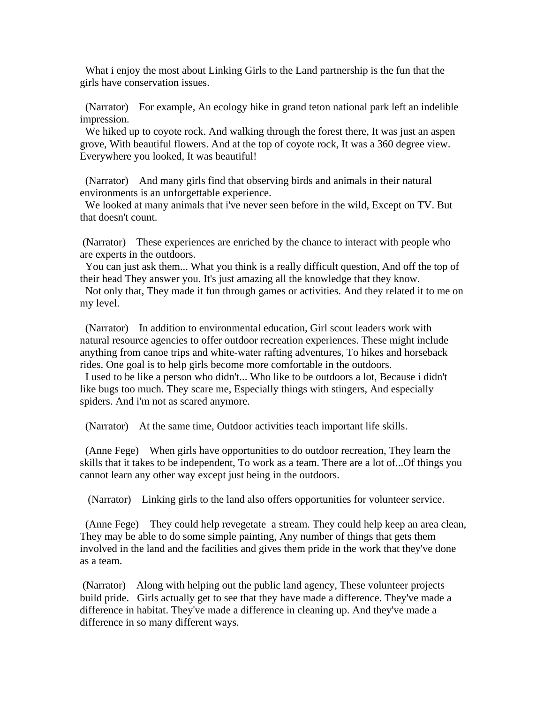What i enjoy the most about Linking Girls to the Land partnership is the fun that the girls have conservation issues.

 (Narrator) For example, An ecology hike in grand teton national park left an indelible impression.

 We hiked up to coyote rock. And walking through the forest there, It was just an aspen grove, With beautiful flowers. And at the top of coyote rock, It was a 360 degree view. Everywhere you looked, It was beautiful!

 (Narrator) And many girls find that observing birds and animals in their natural environments is an unforgettable experience.

 We looked at many animals that i've never seen before in the wild, Except on TV. But that doesn't count.

 (Narrator) These experiences are enriched by the chance to interact with people who are experts in the outdoors.

 You can just ask them... What you think is a really difficult question, And off the top of their head They answer you. It's just amazing all the knowledge that they know.

 Not only that, They made it fun through games or activities. And they related it to me on my level.

 (Narrator) In addition to environmental education, Girl scout leaders work with natural resource agencies to offer outdoor recreation experiences. These might include anything from canoe trips and white-water rafting adventures, To hikes and horseback rides. One goal is to help girls become more comfortable in the outdoors.

 I used to be like a person who didn't... Who like to be outdoors a lot, Because i didn't like bugs too much. They scare me, Especially things with stingers, And especially spiders. And i'm not as scared anymore.

(Narrator) At the same time, Outdoor activities teach important life skills.

 (Anne Fege) When girls have opportunities to do outdoor recreation, They learn the skills that it takes to be independent, To work as a team. There are a lot of...Of things you cannot learn any other way except just being in the outdoors.

(Narrator) Linking girls to the land also offers opportunities for volunteer service.

 (Anne Fege) They could help revegetate a stream. They could help keep an area clean, They may be able to do some simple painting, Any number of things that gets them involved in the land and the facilities and gives them pride in the work that they've done as a team.

 (Narrator) Along with helping out the public land agency, These volunteer projects build pride. Girls actually get to see that they have made a difference. They've made a difference in habitat. They've made a difference in cleaning up. And they've made a difference in so many different ways.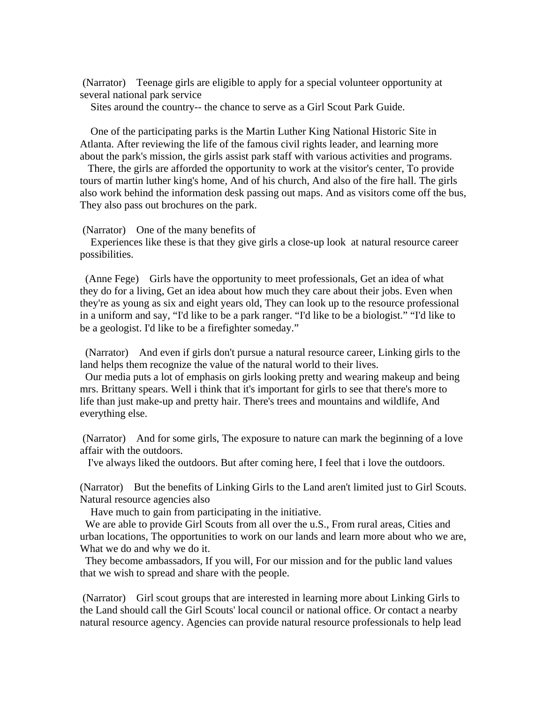(Narrator) Teenage girls are eligible to apply for a special volunteer opportunity at several national park service

Sites around the country-- the chance to serve as a Girl Scout Park Guide.

 One of the participating parks is the Martin Luther King National Historic Site in Atlanta. After reviewing the life of the famous civil rights leader, and learning more about the park's mission, the girls assist park staff with various activities and programs.

 There, the girls are afforded the opportunity to work at the visitor's center, To provide tours of martin luther king's home, And of his church, And also of the fire hall. The girls also work behind the information desk passing out maps. And as visitors come off the bus, They also pass out brochures on the park.

(Narrator) One of the many benefits of

 Experiences like these is that they give girls a close-up look at natural resource career possibilities.

 (Anne Fege) Girls have the opportunity to meet professionals, Get an idea of what they do for a living, Get an idea about how much they care about their jobs. Even when they're as young as six and eight years old, They can look up to the resource professional in a uniform and say, "I'd like to be a park ranger. "I'd like to be a biologist." "I'd like to be a geologist. I'd like to be a firefighter someday."

 (Narrator) And even if girls don't pursue a natural resource career, Linking girls to the land helps them recognize the value of the natural world to their lives.

 Our media puts a lot of emphasis on girls looking pretty and wearing makeup and being mrs. Brittany spears. Well i think that it's important for girls to see that there's more to life than just make-up and pretty hair. There's trees and mountains and wildlife, And everything else.

 (Narrator) And for some girls, The exposure to nature can mark the beginning of a love affair with the outdoors.

I've always liked the outdoors. But after coming here, I feel that i love the outdoors.

(Narrator) But the benefits of Linking Girls to the Land aren't limited just to Girl Scouts. Natural resource agencies also

Have much to gain from participating in the initiative.

We are able to provide Girl Scouts from all over the u.S., From rural areas, Cities and urban locations, The opportunities to work on our lands and learn more about who we are, What we do and why we do it.

 They become ambassadors, If you will, For our mission and for the public land values that we wish to spread and share with the people.

 (Narrator) Girl scout groups that are interested in learning more about Linking Girls to the Land should call the Girl Scouts' local council or national office. Or contact a nearby natural resource agency. Agencies can provide natural resource professionals to help lead